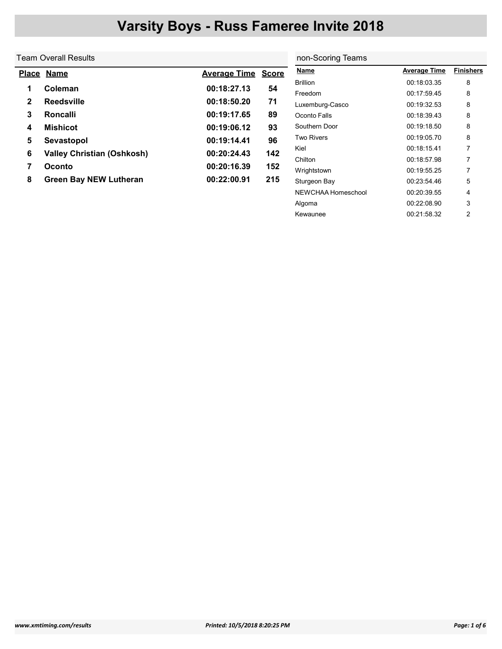non-Scoring Teams

NEWCHAA Homeschool 00:20:39.55 4 Algoma 00:22:08.90 3 Kewaunee 200:21:58.32 2

### Team Overall Results

| <b>Place</b> | <b>Name</b>                       | <b>Average Time Score</b> |     | <b>Name</b>       | <b>Average Time</b> | <b>Finishers</b> |
|--------------|-----------------------------------|---------------------------|-----|-------------------|---------------------|------------------|
|              |                                   |                           |     | <b>Brillion</b>   | 00:18:03.35         | 8                |
|              | Coleman                           | 00:18:27.13               | 54  | Freedom           | 00:17:59.45         | 8                |
| 2            | <b>Reedsville</b>                 | 00:18:50.20               | 71  | Luxemburg-Casco   | 00:19:32.53         | 8                |
| 3            | <b>Roncalli</b>                   | 00:19:17.65               | 89  | Oconto Falls      | 00:18:39.43         | 8                |
| 4            | <b>Mishicot</b>                   | 00:19:06.12               | 93  | Southern Door     | 00:19:18.50         | 8                |
| 5            | Sevastopol                        | 00:19:14.41               | 96  | <b>Two Rivers</b> | 00:19:05.70         | 8                |
| 6            | <b>Valley Christian (Oshkosh)</b> | 00:20:24.43               | 142 | Kiel              | 00:18:15.41         |                  |
|              |                                   |                           |     | Chilton           | 00:18:57.98         |                  |
|              | <b>Oconto</b>                     | 00:20:16.39               | 152 | Wrightstown       | 00:19:55.25         |                  |
| 8            | <b>Green Bay NEW Lutheran</b>     | 00:22:00.91               | 215 | Sturgeon Bay      | 00:23:54.46         | 5                |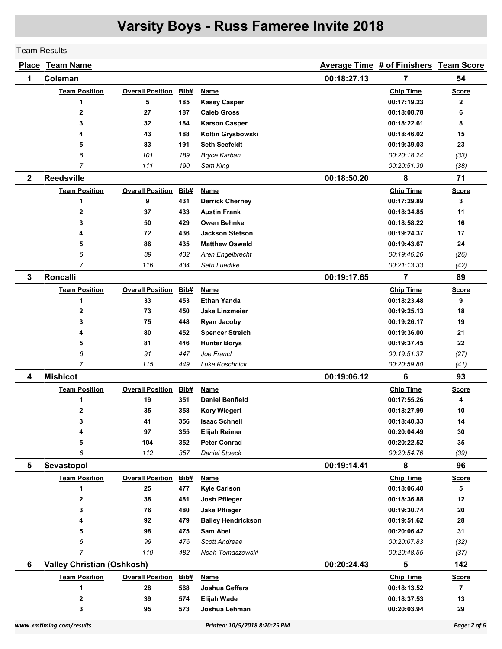Team Results

| <u>Place</u> | <b>Team Name</b>                  |                         |             |                           |             | Average Time # of Finishers Team Score |                |
|--------------|-----------------------------------|-------------------------|-------------|---------------------------|-------------|----------------------------------------|----------------|
| 1            | Coleman                           |                         | 00:18:27.13 | 7                         | 54          |                                        |                |
|              | <b>Team Position</b>              | <b>Overall Position</b> | Bib#        | Name                      |             | <b>Chip Time</b>                       | <b>Score</b>   |
|              | 1                                 | 5                       | 185         | <b>Kasey Casper</b>       |             | 00:17:19.23                            | 2              |
|              | $\overline{2}$                    | 27                      | 187         | <b>Caleb Gross</b>        |             | 00:18:08.78                            | 6              |
|              | 3                                 | 32                      | 184         | <b>Karson Casper</b>      |             | 00:18:22.61                            | 8              |
|              | 4                                 | 43                      | 188         | Koltin Grysbowski         |             | 00:18:46.02                            | 15             |
|              | 5                                 | 83                      | 191         | <b>Seth Seefeldt</b>      |             | 00:19:39.03                            | 23             |
|              | 6                                 | 101                     | 189         | <b>Bryce Karban</b>       |             | 00:20:18.24                            | (33)           |
|              | $\overline{7}$                    | 111                     | 190         | Sam King                  |             | 00:20:51.30                            | (38)           |
| $\mathbf{2}$ | <b>Reedsville</b>                 |                         |             |                           | 00:18:50.20 | 8                                      | 71             |
|              | <b>Team Position</b>              | <b>Overall Position</b> | Bib#        | Name                      |             | <b>Chip Time</b>                       | <b>Score</b>   |
|              | 1                                 | 9                       | 431         | <b>Derrick Cherney</b>    |             | 00:17:29.89                            | 3              |
|              | $\mathbf{2}$                      | 37                      | 433         | <b>Austin Frank</b>       |             | 00:18:34.85                            | 11             |
|              | 3                                 | 50                      | 429         | Owen Behnke               |             | 00:18:58.22                            | 16             |
|              | 4                                 | 72                      | 436         | <b>Jackson Stetson</b>    |             | 00:19:24.37                            | 17             |
|              | 5                                 | 86                      | 435         | <b>Matthew Oswald</b>     |             | 00:19:43.67                            | 24             |
|              | 6                                 | 89                      | 432         | Aren Engelbrecht          |             | 00:19:46.26                            | (26)           |
|              | $\overline{7}$                    | 116                     | 434         | Seth Luedtke              |             | 00:21:13.33                            | (42)           |
| 3            | <b>Roncalli</b>                   |                         |             |                           | 00:19:17.65 | 7                                      | 89             |
|              | <b>Team Position</b>              | <b>Overall Position</b> | Bib#        | Name                      |             | <b>Chip Time</b>                       | <b>Score</b>   |
|              | 1                                 | 33                      | 453         | <b>Ethan Yanda</b>        |             | 00:18:23.48                            | 9              |
|              | $\overline{2}$                    | 73                      | 450         | <b>Jake Linzmeier</b>     |             | 00:19:25.13                            | 18             |
|              | 3                                 | 75                      | 448         | <b>Ryan Jacoby</b>        |             | 00:19:26.17                            | 19             |
|              | 4                                 | 80                      | 452         | <b>Spencer Streich</b>    |             | 00:19:36.00                            | 21             |
|              | 5                                 | 81                      | 446         | <b>Hunter Borys</b>       |             | 00:19:37.45                            | 22             |
|              | 6                                 | 91                      | 447         | Joe Francl                |             | 00:19:51.37                            | (27)           |
|              | $\overline{7}$                    | 115                     | 449         | Luke Koschnick            |             | 00:20:59.80                            | (41)           |
| 4            | <b>Mishicot</b>                   |                         |             |                           | 00:19:06.12 | 6                                      | 93             |
|              | <b>Team Position</b>              | <b>Overall Position</b> | Bib#        | <b>Name</b>               |             | <b>Chip Time</b>                       | <b>Score</b>   |
|              | 1                                 | 19                      | 351         | <b>Daniel Benfield</b>    |             | 00:17:55.26                            | 4              |
|              | 2                                 | 35                      | 358         | <b>Kory Wiegert</b>       |             | 00:18:27.99                            | 10             |
|              | 3                                 | 41                      | 356         | <b>Isaac Schnell</b>      |             | 00:18:40.33                            | 14             |
|              | 4                                 | 97                      | 355         | Elijah Reimer             |             | 00:20:04.49                            | 30             |
|              | 5                                 | 104                     | 352         | <b>Peter Conrad</b>       |             | 00:20:22.52                            | 35             |
|              | 6                                 | 112                     | 357         | <b>Daniel Stueck</b>      |             | 00:20:54.76                            | (39)           |
| 5            | Sevastopol                        |                         |             |                           | 00:19:14.41 | 8                                      | 96             |
|              | <b>Team Position</b>              | <b>Overall Position</b> | Bib#        | <u>Name</u>               |             | <b>Chip Time</b>                       | <b>Score</b>   |
|              | 1                                 | 25                      | 477         | <b>Kyle Carlson</b>       |             | 00:18:06.40                            | 5              |
|              | 2                                 | 38                      | 481         | Josh Pflieger             |             | 00:18:36.88                            | 12             |
|              | 3                                 | 76                      | 480         | <b>Jake Pflieger</b>      |             | 00:19:30.74                            | 20             |
|              | 4                                 | 92                      | 479         | <b>Bailey Hendrickson</b> |             | 00:19:51.62                            | 28             |
|              | 5                                 | 98                      | 475         | Sam Abel                  |             | 00:20:06.42                            | 31             |
|              | 6                                 | 99                      | 476         | Scott Andreae             |             | 00:20:07.83                            | (32)           |
|              | $\overline{7}$                    | 110                     | 482         | Noah Tomaszewski          |             | 00:20:48.55                            | (37)           |
| 6            | <b>Valley Christian (Oshkosh)</b> |                         |             |                           | 00:20:24.43 | 5                                      | 142            |
|              | <b>Team Position</b>              | <b>Overall Position</b> | Bib#        | <b>Name</b>               |             | <b>Chip Time</b>                       | <b>Score</b>   |
|              | 1                                 | 28                      | 568         | Joshua Geffers            |             | 00:18:13.52                            | $\overline{7}$ |
|              | 2                                 | 39                      | 574         | <b>Elijah Wade</b>        |             | 00:18:37.53                            | 13             |
|              | 3                                 | 95                      | 573         | Joshua Lehman             |             | 00:20:03.94                            | 29             |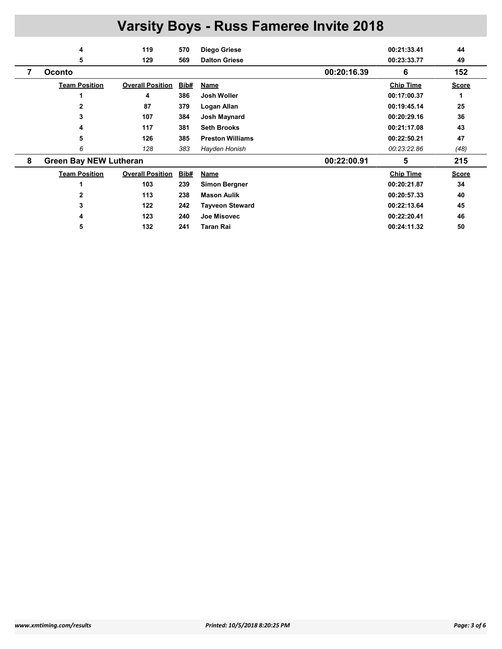|   | 4                             | 119                     | 570  | Diego Griese            |             | 00:21:33.41      | 44           |
|---|-------------------------------|-------------------------|------|-------------------------|-------------|------------------|--------------|
|   | 5                             | 129                     | 569  | <b>Dalton Griese</b>    |             | 00:23:33.77      | 49           |
|   | <b>Oconto</b>                 |                         |      |                         | 00:20:16.39 | 6                | 152          |
|   | <b>Team Position</b>          | <b>Overall Position</b> | Bib# | Name                    |             | <b>Chip Time</b> | <b>Score</b> |
|   |                               | 4                       | 386  | Josh Woller             |             | 00:17:00.37      | 1            |
|   | 2                             | 87                      | 379  | Logan Allan             |             | 00:19:45.14      | 25           |
|   | 3                             | 107                     | 384  | Josh Maynard            |             | 00:20:29.16      | 36           |
|   | 4                             | 117                     | 381  | <b>Seth Brooks</b>      |             | 00:21:17.08      | 43           |
|   | 5                             | 126                     | 385  | <b>Preston Williams</b> |             | 00:22:50.21      | 47           |
|   | 6                             | 128                     | 383  | Hayden Honish           |             | 00:23:22.86      | (48)         |
| 8 | <b>Green Bay NEW Lutheran</b> |                         |      |                         | 00:22:00.91 | 5                | 215          |
|   | <b>Team Position</b>          | <b>Overall Position</b> | Bib# | <b>Name</b>             |             | <b>Chip Time</b> | <b>Score</b> |
|   |                               | 103                     | 239  | <b>Simon Bergner</b>    |             | 00:20:21.87      | 34           |
|   |                               | 113                     | 238  | <b>Mason Aulik</b>      |             | 00:20:57.33      | 40           |
|   | 3                             | 122                     | 242  | <b>Tayveon Steward</b>  |             | 00:22:13.64      | 45           |
|   | 4                             | 123                     | 240  | Joe Misovec             |             | 00:22:20.41      | 46           |
|   | 5                             | 132                     | 241  | <b>Taran Rai</b>        |             | 00:24:11.32      | 50           |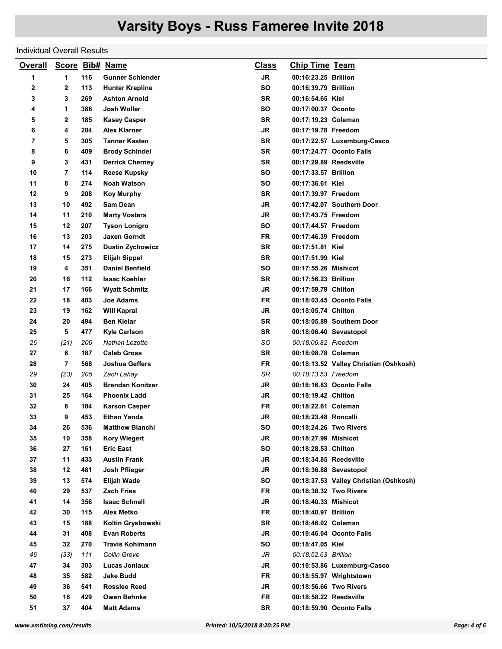### Individual Overall Results

| <b>Overall</b> |        |            | Score Bib# Name                            | <b>Class</b>    | <b>Chip Time Team</b>                         |                                        |
|----------------|--------|------------|--------------------------------------------|-----------------|-----------------------------------------------|----------------------------------------|
| 1              | 1      | 116        | <b>Gunner Schlender</b>                    | <b>JR</b>       | 00:16:23.25 Brillion                          |                                        |
| 2              | 2      | 113        | <b>Hunter Krepline</b>                     | <b>SO</b>       | 00:16:39.79 Brillion                          |                                        |
| 3              | 3      | 269        | <b>Ashton Arnold</b>                       | <b>SR</b>       | 00:16:54.65 Kiel                              |                                        |
| 4              | 1      | 386        | Josh Woller                                | <b>SO</b>       | 00:17:00.37 Oconto                            |                                        |
| 5              | 2      | 185        | <b>Kasey Casper</b>                        | SR              | 00:17:19.23 Coleman                           |                                        |
| 6              | 4      | 204        | <b>Alex Klarner</b>                        | JR              | 00:17:19.78 Freedom                           |                                        |
| 7              | 5      | 305        | <b>Tanner Kasten</b>                       | SR              |                                               | 00:17:22.57 Luxemburg-Casco            |
| 8              | 6      | 409        | <b>Brody Schindel</b>                      | SR              |                                               | 00:17:24.77 Oconto Falls               |
| 9              | 3      | 431        | <b>Derrick Cherney</b>                     | <b>SR</b>       | 00:17:29.89 Reedsville                        |                                        |
| 10             | 7      | 114        | <b>Reese Kupsky</b>                        | SO              | 00:17:33.57 Brillion                          |                                        |
| 11             | 8      | 274        | <b>Noah Watson</b>                         | SO              | 00:17:36.61 Kiel                              |                                        |
| 12             | 9      | 208        | <b>Koy Murphy</b>                          | <b>SR</b>       | 00:17:39.97 Freedom                           |                                        |
| 13             | 10     | 492        | <b>Sam Dean</b>                            | JR              |                                               | 00:17:42.07 Southern Door              |
| 14             | 11     | 210        | <b>Marty Vosters</b>                       | JR              | 00:17:43.75 Freedom                           |                                        |
| 15             | 12     | 207        | <b>Tyson Lonigro</b>                       | <b>SO</b>       | 00:17:44.57 Freedom                           |                                        |
| 16             | 13     | 203        | Jaxen Gerndt                               | FR              | 00:17:46.39 Freedom                           |                                        |
| 17             | 14     | 275        | <b>Dustin Zychowicz</b>                    | <b>SR</b>       | 00:17:51.81 Kiel                              |                                        |
| 18             | 15     | 273        | <b>Elijah Sippel</b>                       | <b>SR</b>       | 00:17:51.99 Kiel                              |                                        |
| 19             | 4      | 351        | <b>Daniel Benfield</b>                     | SΟ              | 00:17:55.26 Mishicot                          |                                        |
| 20             | 16     | 112        | <b>Isaac Koehler</b>                       | SR              | 00:17:56.23 Brillion                          |                                        |
| 21             | 17     | 166        | <b>Wyatt Schmitz</b>                       | JR              | 00:17:59.79 Chilton                           |                                        |
| 22             | 18     | 403        | Joe Adams                                  | FR              |                                               | 00:18:03.45 Oconto Falls               |
| 23             | 19     | 162        | <b>Will Kapral</b>                         | JR              | 00:18:05.74 Chilton                           |                                        |
| 24             | 20     | 494        | <b>Ben Kielar</b>                          | SR              |                                               | 00:18:05.89 Southern Door              |
| 25             | 5      | 477        | <b>Kyle Carlson</b>                        | <b>SR</b>       | 00:18:06.40 Sevastopol                        |                                        |
| 26             | (21)   | 206        | Nathan Lezotte                             | SO              | 00:18:06.82 Freedom                           |                                        |
| 27             | 6      | 187        | <b>Caleb Gross</b>                         | SR              | 00:18:08.78 Coleman                           |                                        |
|                | 7      | 568        | Joshua Geffers                             | FR              |                                               |                                        |
| 28<br>29       | (23)   | 205        | Zach Lahay                                 | SR              | 00:18:13.53 Freedom                           | 00:18:13.52 Valley Christian (Oshkosh) |
| 30             | 24     | 405        | <b>Brendan Konitzer</b>                    | JR              |                                               | 00:18:16.83 Oconto Falls               |
|                | 25     |            |                                            | <b>JR</b>       |                                               |                                        |
| 31             |        | 164        | <b>Phoenix Ladd</b>                        |                 | 00:18:19.42 Chilton                           |                                        |
| 32             | 8<br>9 | 184<br>453 | <b>Karson Casper</b><br><b>Ethan Yanda</b> | FR<br>JR        | 00:18:22.61 Coleman                           |                                        |
| 33             |        |            |                                            |                 | 00:18:23.48 Roncalli                          |                                        |
| 34             | 26     | 536        | <b>Matthew Bianchi</b>                     | SO              | 00:18:24.26 Two Rivers                        |                                        |
| 35             | 10     | 358        | <b>Kory Wiegert</b>                        | JR<br><b>SO</b> | 00:18:27.99 Mishicot                          |                                        |
| 36             | 27     | 161        | <b>Eric East</b>                           |                 | 00:18:28.53 Chilton<br>00:18:34.85 Reedsville |                                        |
| 37             | 11     | 433        | <b>Austin Frank</b>                        | JR              |                                               |                                        |
| 38             | 12     | 481        | Josh Pflieger                              | JR              | 00:18:36.88 Sevastopol                        |                                        |
| 39             | 13     | 574        | <b>Elijah Wade</b>                         | SO              |                                               | 00:18:37.53 Valley Christian (Oshkosh) |
| 40             | 29     | 537        | <b>Zach Fries</b>                          | <b>FR</b>       | 00:18:38.32 Two Rivers                        |                                        |
| 41             | 14     | 356        | <b>Isaac Schnell</b>                       | JR              | 00:18:40.33 Mishicot                          |                                        |
| 42             | 30     | 115        | <b>Alex Metko</b>                          | <b>FR</b>       | 00:18:40.97 Brillion                          |                                        |
| 43             | 15     | 188        | Koltin Grysbowski                          | <b>SR</b>       | 00:18:46.02 Coleman                           |                                        |
| 44             | 31     | 408        | <b>Evan Roberts</b>                        | JR              |                                               | 00:18:46.04 Oconto Falls               |
| 45             | 32     | 270        | <b>Travis Kohlmann</b>                     | <b>SO</b>       | 00:18:47.05 Kiel                              |                                        |
| 46             | (33)   | 111        | Collin Greve                               | JR              | 00:18:52.63 Brillion                          |                                        |
| 47             | 34     | 303        | Lucas Joniaux                              | JR              |                                               | 00:18:53.86 Luxemburg-Casco            |
| 48             | 35     | 582        | <b>Jake Budd</b>                           | FR              |                                               | 00:18:55.97 Wrightstown                |
| 49             | 36     | 541        | <b>Rosslee Reed</b>                        | JR              | 00:18:56.66 Two Rivers                        |                                        |
| 50             | 16     | 429        | Owen Behnke                                | <b>FR</b>       | 00:18:58.22 Reedsville                        |                                        |
| 51             | 37     | 404        | <b>Matt Adams</b>                          | SR              |                                               | 00:18:59.90 Oconto Falls               |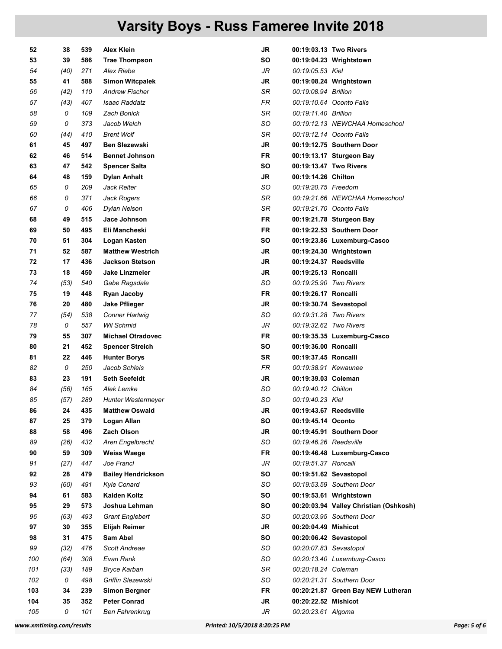| 52  | 38   | 539 | <b>Alex Klein</b>         | JR        | 00:19:03.13 Two Rivers                 |
|-----|------|-----|---------------------------|-----------|----------------------------------------|
| 53  | 39   | 586 | <b>Trae Thompson</b>      | SΟ        | 00:19:04.23 Wrightstown                |
| 54  | (40) | 271 | <b>Alex Riebe</b>         | JR        | 00:19:05.53 Kiel                       |
| 55  | 41   | 588 | <b>Simon Witcpalek</b>    | JR        | 00:19:08.24 Wrightstown                |
| 56  | (42) | 110 | <b>Andrew Fischer</b>     | SR        | 00:19:08.94 Brillion                   |
| 57  | (43) | 407 | <b>Isaac Raddatz</b>      | <b>FR</b> | 00:19:10.64 Oconto Falls               |
| 58  | 0    | 109 | <b>Zach Bonick</b>        | SR        | 00:19:11.40 Brillion                   |
| 59  | 0    | 373 | Jacob Welch               | SO        | 00:19:12.13 NEWCHAA Homeschool         |
| 60  | (44) | 410 | <b>Brent Wolf</b>         | SR        | 00:19:12.14 Oconto Falls               |
| 61  | 45   | 497 | <b>Ben Slezewski</b>      | JR        | 00:19:12.75 Southern Door              |
| 62  | 46   | 514 | <b>Bennet Johnson</b>     | FR        | 00:19:13.17 Sturgeon Bay               |
| 63  | 47   | 542 | <b>Spencer Salta</b>      | SΟ        | 00:19:13.47 Two Rivers                 |
| 64  | 48   | 159 | Dylan Anhalt              | JR        | 00:19:14.26 Chilton                    |
| 65  | 0    | 209 | Jack Reiter               | SO        | 00:19:20.75 Freedom                    |
| 66  | 0    | 371 | Jack Rogers               | SR        | 00:19:21.66 NEWCHAA Homeschool         |
| 67  | 0    | 406 | Dylan Nelson              | SR        | 00:19:21.70 Oconto Falls               |
| 68  | 49   | 515 | Jace Johnson              | FR        | 00:19:21.78 Sturgeon Bay               |
| 69  | 50   | 495 | Eli Mancheski             | <b>FR</b> | 00:19:22.53 Southern Door              |
| 70  | 51   | 304 | Logan Kasten              | SO        | 00:19:23.86 Luxemburg-Casco            |
| 71  | 52   | 587 | <b>Matthew Westrich</b>   | JR        | 00:19:24.30 Wrightstown                |
| 72  | 17   | 436 | <b>Jackson Stetson</b>    | JR        | 00:19:24.37 Reedsville                 |
| 73  | 18   | 450 | Jake Linzmeier            | <b>JR</b> | 00:19:25.13 Roncalli                   |
| 74  | (53) | 540 | Gabe Ragsdale             | SO        | 00:19:25.90 Two Rivers                 |
| 75  | 19   | 448 | <b>Ryan Jacoby</b>        | FR.       | 00:19:26.17 Roncalli                   |
| 76  | 20   | 480 | <b>Jake Pflieger</b>      | <b>JR</b> | 00:19:30.74 Sevastopol                 |
| 77  | (54) | 538 | <b>Conner Hartwig</b>     | SO        | 00:19:31.28 Two Rivers                 |
| 78  | 0    | 557 | <b>Wil Schmid</b>         | JR        | 00:19:32.62 Two Rivers                 |
| 79  | 55   | 307 | <b>Michael Otradovec</b>  | FR        | 00:19:35.35 Luxemburg-Casco            |
| 80  | 21   | 452 | <b>Spencer Streich</b>    | SΟ        | 00:19:36.00 Roncalli                   |
| 81  | 22   | 446 | <b>Hunter Borys</b>       | SR        | 00:19:37.45 Roncalli                   |
| 82  | 0    | 250 | Jacob Schleis             | FR        | 00:19:38.91 Kewaunee                   |
| 83  | 23   | 191 | <b>Seth Seefeldt</b>      | JR        | 00:19:39.03 Coleman                    |
| 84  | (56) | 165 | Alek Lemke                | SO        | 00:19:40.12 Chilton                    |
| 85  | (57) | 289 | <b>Hunter Westermeyer</b> | SO        | 00:19:40.23 Kiel                       |
| 86  | 24   | 435 | <b>Matthew Oswald</b>     | JR        | 00:19:43.67 Reedsville                 |
| 87  | 25   | 379 | Logan Allan               | SO        | 00:19:45.14 Oconto                     |
| 88  | 58   | 496 | <b>Zach Olson</b>         | JR        | 00:19:45.91 Southern Door              |
| 89  | (26) | 432 | Aren Engelbrecht          | SO        | 00:19:46.26 Reedsville                 |
| 90  | 59   | 309 | <b>Weiss Waege</b>        | <b>FR</b> | 00:19:46.48 Luxemburg-Casco            |
| 91  | (27) | 447 | Joe Francl                | JR        | 00:19:51.37 Roncalli                   |
| 92  | 28   | 479 | <b>Bailey Hendrickson</b> | SO        | 00:19:51.62 Sevastopol                 |
| 93  | (60) | 491 | Kyle Conard               | SO        | 00:19:53.59 Southern Door              |
| 94  | 61   | 583 | <b>Kaiden Koltz</b>       | SΟ        | 00:19:53.61 Wrightstown                |
| 95  | 29   | 573 | Joshua Lehman             | SO        | 00:20:03.94 Valley Christian (Oshkosh) |
| 96  | (63) | 493 | <b>Grant Englebert</b>    | SO        | 00:20:03.95 Southern Door              |
| 97  | 30   | 355 | <b>Elijah Reimer</b>      | <b>JR</b> | 00:20:04.49 Mishicot                   |
| 98  | 31   | 475 | Sam Abel                  | SO        | 00:20:06.42 Sevastopol                 |
| 99  | (32) | 476 | Scott Andreae             | SO        | 00:20:07.83 Sevastopol                 |
| 100 | (64) | 308 | Evan Rank                 | SO        | 00:20:13.40 Luxemburg-Casco            |
| 101 | (33) | 189 | <b>Bryce Karban</b>       | SR        | 00:20:18.24 Coleman                    |
| 102 | 0    | 498 | Griffin Slezewski         | SO        | 00:20:21.31 Southern Door              |
| 103 | 34   | 239 | <b>Simon Bergner</b>      | <b>FR</b> | 00:20:21.87 Green Bay NEW Lutheran     |
| 104 | 35   | 352 | <b>Peter Conrad</b>       | <b>JR</b> | 00:20:22.52 Mishicot                   |
| 105 | 0    | 101 | <b>Ben Fahrenkrug</b>     | JR        | 00:20:23.61 Algoma                     |